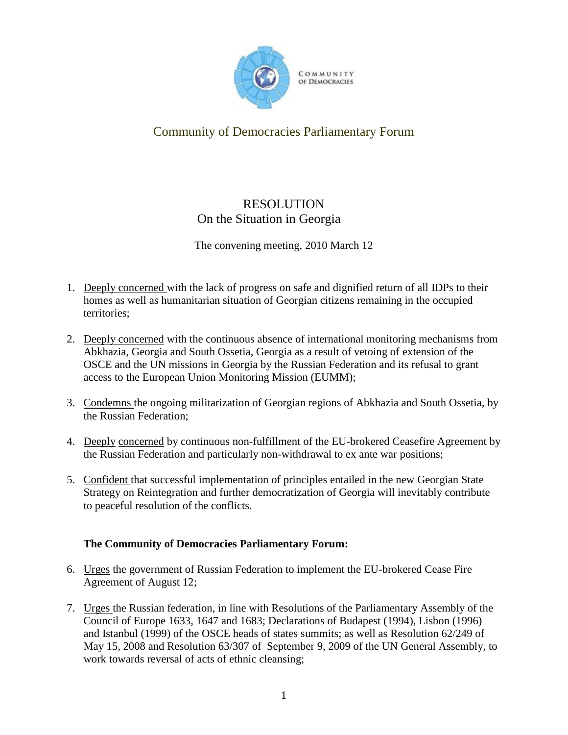

## Community of Democracies Parliamentary Forum

## RESOLUTION On the Situation in Georgia

The convening meeting, 2010 March 12

- 1. Deeply concerned with the lack of progress on safe and dignified return of all IDPs to their homes as well as humanitarian situation of Georgian citizens remaining in the occupied territories;
- 2. Deeply concerned with the continuous absence of international monitoring mechanisms from Abkhazia, Georgia and South Ossetia, Georgia as a result of vetoing of extension of the OSCE and the UN missions in Georgia by the Russian Federation and its refusal to grant access to the European Union Monitoring Mission (EUMM);
- 3. Condemns the ongoing militarization of Georgian regions of Abkhazia and South Ossetia, by the Russian Federation;
- 4. Deeply concerned by continuous non-fulfillment of the EU-brokered Ceasefire Agreement by the Russian Federation and particularly non-withdrawal to ex ante war positions;
- 5. Confident that successful implementation of principles entailed in the new Georgian State Strategy on Reintegration and further democratization of Georgia will inevitably contribute to peaceful resolution of the conflicts.

## **The Community of Democracies Parliamentary Forum:**

- 6. Urges the government of Russian Federation to implement the EU-brokered Cease Fire Agreement of August 12;
- 7. Urges the Russian federation, in line with Resolutions of the Parliamentary Assembly of the Council of Europe 1633, 1647 and 1683; Declarations of Budapest (1994), Lisbon (1996) and Istanbul (1999) of the OSCE heads of states summits; as well as Resolution 62/249 of May 15, 2008 and Resolution 63/307 of September 9, 2009 of the UN General Assembly, to work towards reversal of acts of ethnic cleansing;